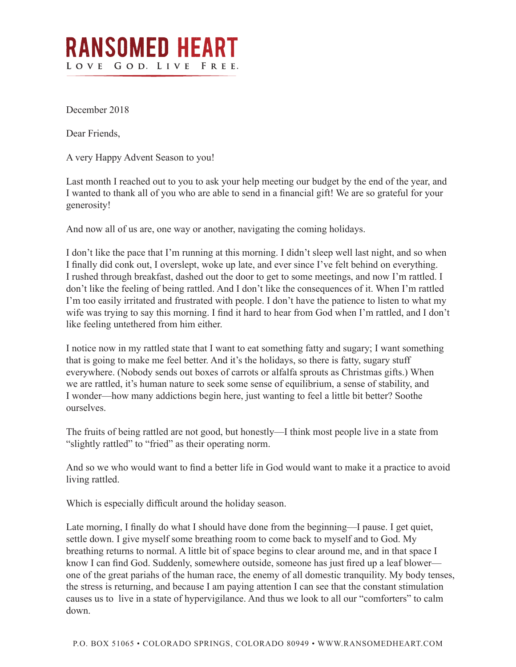## **RANSOMED HEART** LOVE GOD. LIVE FREE.

December 2018

Dear Friends,

A very Happy Advent Season to you!

Last month I reached out to you to ask your help meeting our budget by the end of the year, and I wanted to thank all of you who are able to send in a financial gift! We are so grateful for your generosity!

And now all of us are, one way or another, navigating the coming holidays.

I don't like the pace that I'm running at this morning. I didn't sleep well last night, and so when I finally did conk out, I overslept, woke up late, and ever since I've felt behind on everything. I rushed through breakfast, dashed out the door to get to some meetings, and now I'm rattled. I don't like the feeling of being rattled. And I don't like the consequences of it. When I'm rattled I'm too easily irritated and frustrated with people. I don't have the patience to listen to what my wife was trying to say this morning. I find it hard to hear from God when I'm rattled, and I don't like feeling untethered from him either.

I notice now in my rattled state that I want to eat something fatty and sugary; I want something that is going to make me feel better. And it's the holidays, so there is fatty, sugary stuff everywhere. (Nobody sends out boxes of carrots or alfalfa sprouts as Christmas gifts.) When we are rattled, it's human nature to seek some sense of equilibrium, a sense of stability, and I wonder—how many addictions begin here, just wanting to feel a little bit better? Soothe ourselves.

The fruits of being rattled are not good, but honestly—I think most people live in a state from "slightly rattled" to "fried" as their operating norm.

And so we who would want to find a better life in God would want to make it a practice to avoid living rattled.

Which is especially difficult around the holiday season.

Late morning, I finally do what I should have done from the beginning—I pause. I get quiet, settle down. I give myself some breathing room to come back to myself and to God. My breathing returns to normal. A little bit of space begins to clear around me, and in that space I know I can find God. Suddenly, somewhere outside, someone has just fired up a leaf blower one of the great pariahs of the human race, the enemy of all domestic tranquility. My body tenses, the stress is returning, and because I am paying attention I can see that the constant stimulation causes us to live in a state of hypervigilance. And thus we look to all our "comforters" to calm down.